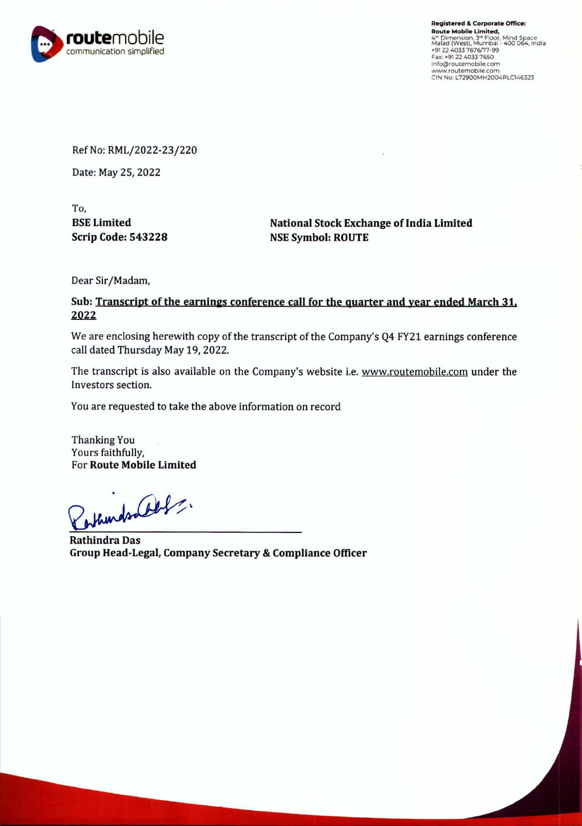

**Registered** & **Corporate Office: Route Mobile Limited,**  4th Dimension, 3rd Floor, Mind Space<br>Malad (West), Mumbai - 400 064, India<br>+91 22 4033 7676/77-99 Fax: • 91 22 4033 7650 info@routemobile.com www.routemobile.com CIN No: L72900MH2004PLC146323

Ref No: RML/2022-23/220

Date: May 25, 2022

To, **BSE Limited Scrip Code: 543228** 

**National Stock Exchange of India Limited NSE Symbol: ROUTE** 

Dear Sir/Madam,

Sub: <u>Transcript of the earnings conference call for the quarter and year ended March 31.</u><br>2022

We are enclosing herewith copy of the transcript of the Company's Q4 FY21 earnings conference call dated Thursday May 19, 2022.

The transcript is also available on the Company's website i.e. www.routemobile.com under the Investors section.

You are requested to take the above information on record

Thanking You Yours faithfully, For **Route Mobile Limited** 

estainds aller

**Rathindra Das Group Head-Legal, Company Secretary** & **Compliance Officer**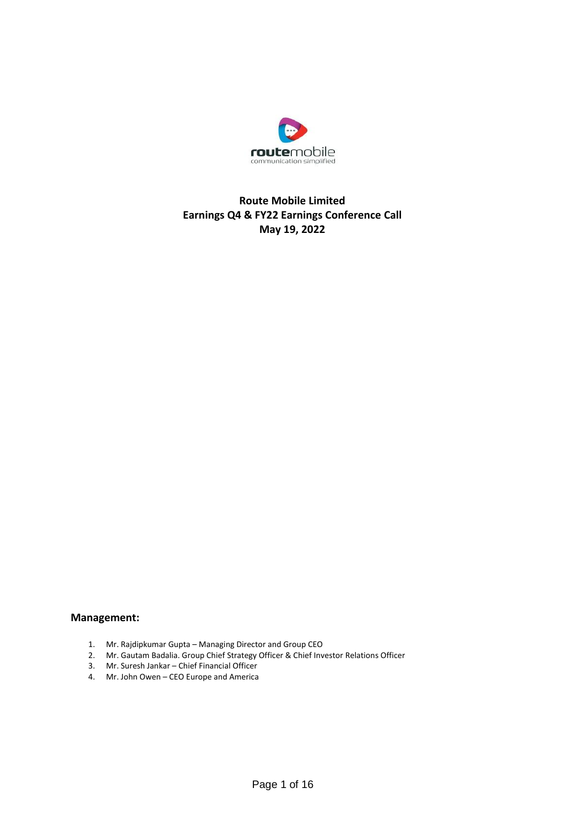

## **Route Mobile Limited Earnings Q4 & FY22 Earnings Conference Call May 19, 2022**

## **Management:**

- 1. Mr. Rajdipkumar Gupta Managing Director and Group CEO
- 2. Mr. Gautam Badalia. Group Chief Strategy Officer & Chief Investor Relations Officer
- 3. Mr. Suresh Jankar Chief Financial Officer
- 4. Mr. John Owen CEO Europe and America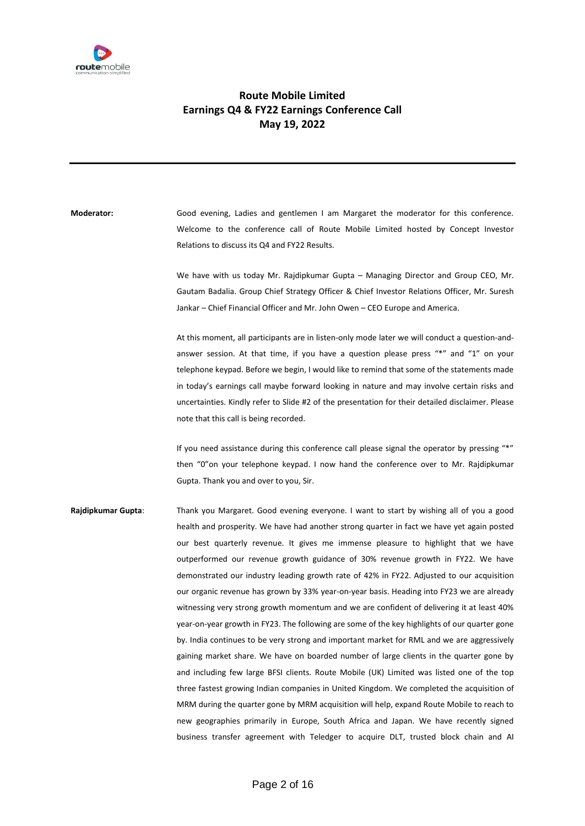

## **Route Mobile Limited Earnings Q4 & FY22 Earnings Conference Call May 19, 2022**

**Moderator:** Good evening, Ladies and gentlemen I am Margaret the moderator for this conference. Welcome to the conference call of Route Mobile Limited hosted by Concept Investor Relations to discuss its Q4 and FY22 Results.

> We have with us today Mr. Rajdipkumar Gupta – Managing Director and Group CEO, Mr. Gautam Badalia. Group Chief Strategy Officer & Chief Investor Relations Officer, Mr. Suresh Jankar – Chief Financial Officer and Mr. John Owen – CEO Europe and America.

> At this moment, all participants are in listen-only mode later we will conduct a question-andanswer session. At that time, if you have a question please press "\*" and "1" on your telephone keypad. Before we begin, I would like to remind that some of the statements made in today's earnings call maybe forward looking in nature and may involve certain risks and uncertainties. Kindly refer to Slide #2 of the presentation for their detailed disclaimer. Please note that this call is being recorded.

> If you need assistance during this conference call please signal the operator by pressing "\*" then "0"on your telephone keypad. I now hand the conference over to Mr. Rajdipkumar Gupta. Thank you and over to you, Sir.

**Rajdipkumar Gupta**: Thank you Margaret. Good evening everyone. I want to start by wishing all of you a good health and prosperity. We have had another strong quarter in fact we have yet again posted our best quarterly revenue. It gives me immense pleasure to highlight that we have outperformed our revenue growth guidance of 30% revenue growth in FY22. We have demonstrated our industry leading growth rate of 42% in FY22. Adjusted to our acquisition our organic revenue has grown by 33% year-on-year basis. Heading into FY23 we are already witnessing very strong growth momentum and we are confident of delivering it at least 40% year-on-year growth in FY23. The following are some of the key highlights of our quarter gone by. India continues to be very strong and important market for RML and we are aggressively gaining market share. We have on boarded number of large clients in the quarter gone by and including few large BFSI clients. Route Mobile (UK) Limited was listed one of the top three fastest growing Indian companies in United Kingdom. We completed the acquisition of MRM during the quarter gone by MRM acquisition will help, expand Route Mobile to reach to new geographies primarily in Europe, South Africa and Japan. We have recently signed business transfer agreement with Teledger to acquire DLT, trusted block chain and AI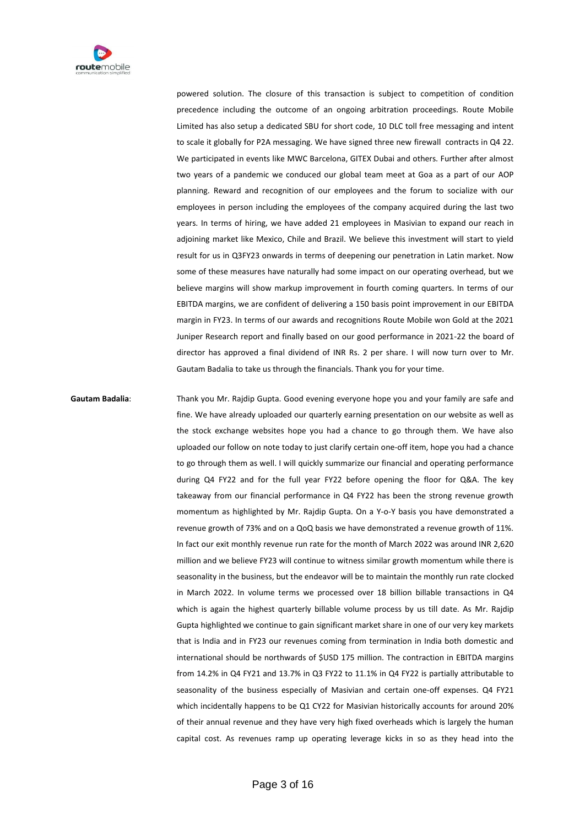

powered solution. The closure of this transaction is subject to competition of condition precedence including the outcome of an ongoing arbitration proceedings. Route Mobile Limited has also setup a dedicated SBU for short code, 10 DLC toll free messaging and intent to scale it globally for P2A messaging. We have signed three new firewall contracts in Q4 22. We participated in events like MWC Barcelona, GITEX Dubai and others. Further after almost two years of a pandemic we conduced our global team meet at Goa as a part of our AOP planning. Reward and recognition of our employees and the forum to socialize with our employees in person including the employees of the company acquired during the last two years. In terms of hiring, we have added 21 employees in Masivian to expand our reach in adjoining market like Mexico, Chile and Brazil. We believe this investment will start to yield result for us in Q3FY23 onwards in terms of deepening our penetration in Latin market. Now some of these measures have naturally had some impact on our operating overhead, but we believe margins will show markup improvement in fourth coming quarters. In terms of our EBITDA margins, we are confident of delivering a 150 basis point improvement in our EBITDA margin in FY23. In terms of our awards and recognitions Route Mobile won Gold at the 2021 Juniper Research report and finally based on our good performance in 2021-22 the board of director has approved a final dividend of INR Rs. 2 per share. I will now turn over to Mr. Gautam Badalia to take us through the financials. Thank you for your time.

**Gautam Badalia**: Thank you Mr. Rajdip Gupta. Good evening everyone hope you and your family are safe and fine. We have already uploaded our quarterly earning presentation on our website as well as the stock exchange websites hope you had a chance to go through them. We have also uploaded our follow on note today to just clarify certain one-off item, hope you had a chance to go through them as well. I will quickly summarize our financial and operating performance during Q4 FY22 and for the full year FY22 before opening the floor for Q&A. The key takeaway from our financial performance in Q4 FY22 has been the strong revenue growth momentum as highlighted by Mr. Rajdip Gupta. On a Y-o-Y basis you have demonstrated a revenue growth of 73% and on a QoQ basis we have demonstrated a revenue growth of 11%. In fact our exit monthly revenue run rate for the month of March 2022 was around INR 2,620 million and we believe FY23 will continue to witness similar growth momentum while there is seasonality in the business, but the endeavor will be to maintain the monthly run rate clocked in March 2022. In volume terms we processed over 18 billion billable transactions in Q4 which is again the highest quarterly billable volume process by us till date. As Mr. Rajdip Gupta highlighted we continue to gain significant market share in one of our very key markets that is India and in FY23 our revenues coming from termination in India both domestic and international should be northwards of \$USD 175 million. The contraction in EBITDA margins from 14.2% in Q4 FY21 and 13.7% in Q3 FY22 to 11.1% in Q4 FY22 is partially attributable to seasonality of the business especially of Masivian and certain one-off expenses. Q4 FY21 which incidentally happens to be Q1 CY22 for Masivian historically accounts for around 20% of their annual revenue and they have very high fixed overheads which is largely the human capital cost. As revenues ramp up operating leverage kicks in so as they head into the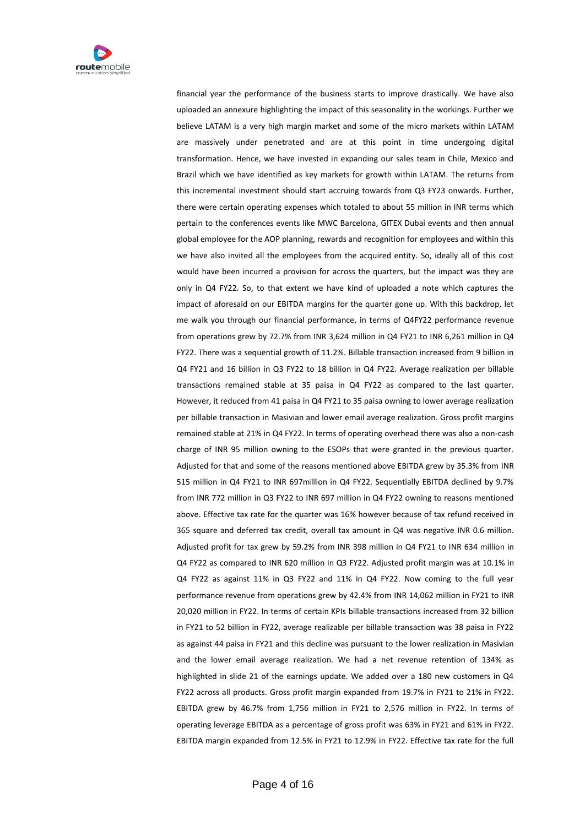

financial year the performance of the business starts to improve drastically. We have also uploaded an annexure highlighting the impact of this seasonality in the workings. Further we believe LATAM is a very high margin market and some of the micro markets within LATAM are massively under penetrated and are at this point in time undergoing digital transformation. Hence, we have invested in expanding our sales team in Chile, Mexico and Brazil which we have identified as key markets for growth within LATAM. The returns from this incremental investment should start accruing towards from Q3 FY23 onwards. Further, there were certain operating expenses which totaled to about 55 million in INR terms which pertain to the conferences events like MWC Barcelona, GITEX Dubai events and then annual global employee for the AOP planning, rewards and recognition for employees and within this we have also invited all the employees from the acquired entity. So, ideally all of this cost would have been incurred a provision for across the quarters, but the impact was they are only in Q4 FY22. So, to that extent we have kind of uploaded a note which captures the impact of aforesaid on our EBITDA margins for the quarter gone up. With this backdrop, let me walk you through our financial performance, in terms of Q4FY22 performance revenue from operations grew by 72.7% from INR 3,624 million in Q4 FY21 to INR 6,261 million in Q4 FY22. There was a sequential growth of 11.2%. Billable transaction increased from 9 billion in Q4 FY21 and 16 billion in Q3 FY22 to 18 billion in Q4 FY22. Average realization per billable transactions remained stable at 35 paisa in Q4 FY22 as compared to the last quarter. However, it reduced from 41 paisa in Q4 FY21 to 35 paisa owning to lower average realization per billable transaction in Masivian and lower email average realization. Gross profit margins remained stable at 21% in Q4 FY22. In terms of operating overhead there was also a non-cash charge of INR 95 million owning to the ESOPs that were granted in the previous quarter. Adjusted for that and some of the reasons mentioned above EBITDA grew by 35.3% from INR 515 million in Q4 FY21 to INR 697million in Q4 FY22. Sequentially EBITDA declined by 9.7% from INR 772 million in Q3 FY22 to INR 697 million in Q4 FY22 owning to reasons mentioned above. Effective tax rate for the quarter was 16% however because of tax refund received in 365 square and deferred tax credit, overall tax amount in Q4 was negative INR 0.6 million. Adjusted profit for tax grew by 59.2% from INR 398 million in Q4 FY21 to INR 634 million in Q4 FY22 as compared to INR 620 million in Q3 FY22. Adjusted profit margin was at 10.1% in Q4 FY22 as against 11% in Q3 FY22 and 11% in Q4 FY22. Now coming to the full year performance revenue from operations grew by 42.4% from INR 14,062 million in FY21 to INR 20,020 million in FY22. In terms of certain KPIs billable transactions increased from 32 billion in FY21 to 52 billion in FY22, average realizable per billable transaction was 38 paisa in FY22 as against 44 paisa in FY21 and this decline was pursuant to the lower realization in Masivian and the lower email average realization. We had a net revenue retention of 134% as highlighted in slide 21 of the earnings update. We added over a 180 new customers in Q4 FY22 across all products. Gross profit margin expanded from 19.7% in FY21 to 21% in FY22. EBITDA grew by 46.7% from 1,756 million in FY21 to 2,576 million in FY22. In terms of operating leverage EBITDA as a percentage of gross profit was 63% in FY21 and 61% in FY22. EBITDA margin expanded from 12.5% in FY21 to 12.9% in FY22. Effective tax rate for the full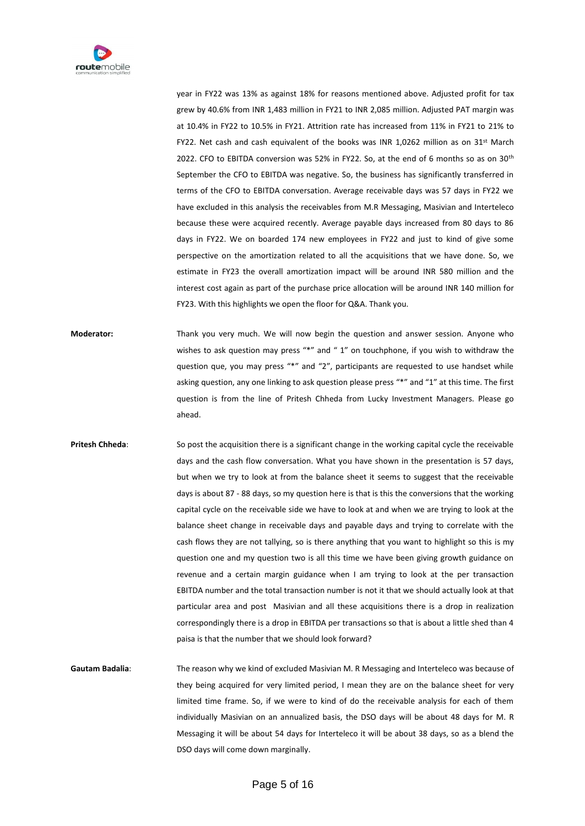

year in FY22 was 13% as against 18% for reasons mentioned above. Adjusted profit for tax grew by 40.6% from INR 1,483 million in FY21 to INR 2,085 million. Adjusted PAT margin was at 10.4% in FY22 to 10.5% in FY21. Attrition rate has increased from 11% in FY21 to 21% to FY22. Net cash and cash equivalent of the books was INR 1,0262 million as on  $31^{st}$  March 2022. CFO to EBITDA conversion was 52% in FY22. So, at the end of 6 months so as on 30<sup>th</sup> September the CFO to EBITDA was negative. So, the business has significantly transferred in terms of the CFO to EBITDA conversation. Average receivable days was 57 days in FY22 we have excluded in this analysis the receivables from M.R Messaging, Masivian and Interteleco because these were acquired recently. Average payable days increased from 80 days to 86 days in FY22. We on boarded 174 new employees in FY22 and just to kind of give some perspective on the amortization related to all the acquisitions that we have done. So, we estimate in FY23 the overall amortization impact will be around INR 580 million and the interest cost again as part of the purchase price allocation will be around INR 140 million for FY23. With this highlights we open the floor for Q&A. Thank you.

**Moderator:** Thank you very much. We will now begin the question and answer session. Anyone who wishes to ask question may press "\*" and " 1" on touchphone, if you wish to withdraw the question que, you may press "\*" and "2", participants are requested to use handset while asking question, any one linking to ask question please press "\*" and "1" at this time. The first question is from the line of Pritesh Chheda from Lucky Investment Managers. Please go ahead.

**Pritesh Chheda**: So post the acquisition there is a significant change in the working capital cycle the receivable days and the cash flow conversation. What you have shown in the presentation is 57 days, but when we try to look at from the balance sheet it seems to suggest that the receivable days is about 87 - 88 days, so my question here is that is this the conversions that the working capital cycle on the receivable side we have to look at and when we are trying to look at the balance sheet change in receivable days and payable days and trying to correlate with the cash flows they are not tallying, so is there anything that you want to highlight so this is my question one and my question two is all this time we have been giving growth guidance on revenue and a certain margin guidance when I am trying to look at the per transaction EBITDA number and the total transaction number is not it that we should actually look at that particular area and post Masivian and all these acquisitions there is a drop in realization correspondingly there is a drop in EBITDA per transactions so that is about a little shed than 4 paisa is that the number that we should look forward?

**Gautam Badalia**: The reason why we kind of excluded Masivian M. R Messaging and Interteleco was because of they being acquired for very limited period, I mean they are on the balance sheet for very limited time frame. So, if we were to kind of do the receivable analysis for each of them individually Masivian on an annualized basis, the DSO days will be about 48 days for M. R Messaging it will be about 54 days for Interteleco it will be about 38 days, so as a blend the DSO days will come down marginally.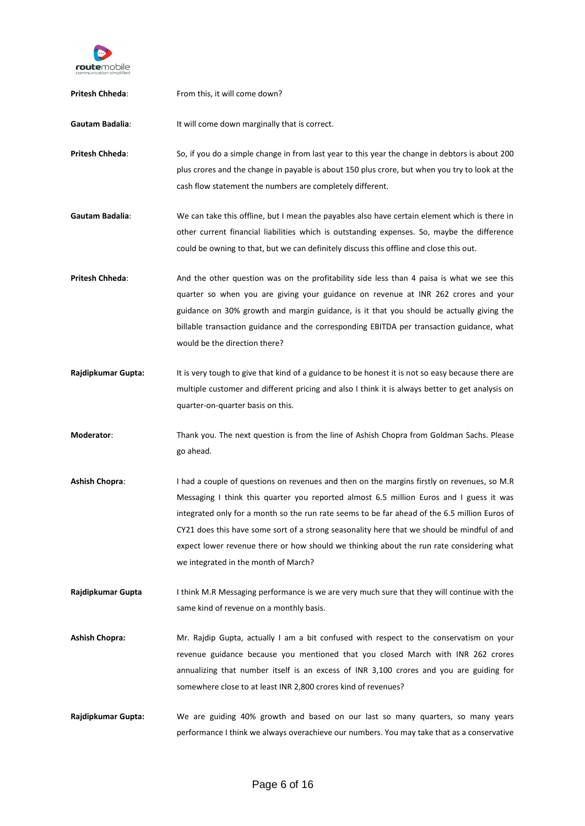

| Pritesh Chheda:       | From this, it will come down?                                                                                                                                                                                                                                                                                                                                                                                                                                                                                              |
|-----------------------|----------------------------------------------------------------------------------------------------------------------------------------------------------------------------------------------------------------------------------------------------------------------------------------------------------------------------------------------------------------------------------------------------------------------------------------------------------------------------------------------------------------------------|
| Gautam Badalia:       | It will come down marginally that is correct.                                                                                                                                                                                                                                                                                                                                                                                                                                                                              |
| Pritesh Chheda:       | So, if you do a simple change in from last year to this year the change in debtors is about 200<br>plus crores and the change in payable is about 150 plus crore, but when you try to look at the<br>cash flow statement the numbers are completely different.                                                                                                                                                                                                                                                             |
| Gautam Badalia:       | We can take this offline, but I mean the payables also have certain element which is there in<br>other current financial liabilities which is outstanding expenses. So, maybe the difference<br>could be owning to that, but we can definitely discuss this offline and close this out.                                                                                                                                                                                                                                    |
| Pritesh Chheda:       | And the other question was on the profitability side less than 4 paisa is what we see this<br>quarter so when you are giving your guidance on revenue at INR 262 crores and your<br>guidance on 30% growth and margin guidance, is it that you should be actually giving the<br>billable transaction guidance and the corresponding EBITDA per transaction guidance, what<br>would be the direction there?                                                                                                                 |
| Rajdipkumar Gupta:    | It is very tough to give that kind of a guidance to be honest it is not so easy because there are<br>multiple customer and different pricing and also I think it is always better to get analysis on<br>quarter-on-quarter basis on this.                                                                                                                                                                                                                                                                                  |
| Moderator:            | Thank you. The next question is from the line of Ashish Chopra from Goldman Sachs. Please<br>go ahead.                                                                                                                                                                                                                                                                                                                                                                                                                     |
| <b>Ashish Chopra:</b> | I had a couple of questions on revenues and then on the margins firstly on revenues, so M.R<br>Messaging I think this quarter you reported almost 6.5 million Euros and I guess it was<br>integrated only for a month so the run rate seems to be far ahead of the 6.5 million Euros of<br>CY21 does this have some sort of a strong seasonality here that we should be mindful of and<br>expect lower revenue there or how should we thinking about the run rate considering what<br>we integrated in the month of March? |
| Rajdipkumar Gupta     | I think M.R Messaging performance is we are very much sure that they will continue with the<br>same kind of revenue on a monthly basis.                                                                                                                                                                                                                                                                                                                                                                                    |
| <b>Ashish Chopra:</b> | Mr. Rajdip Gupta, actually I am a bit confused with respect to the conservatism on your<br>revenue guidance because you mentioned that you closed March with INR 262 crores<br>annualizing that number itself is an excess of INR 3,100 crores and you are guiding for<br>somewhere close to at least INR 2,800 crores kind of revenues?                                                                                                                                                                                   |
| Rajdipkumar Gupta:    | We are guiding 40% growth and based on our last so many quarters, so many years<br>performance I think we always overachieve our numbers. You may take that as a conservative                                                                                                                                                                                                                                                                                                                                              |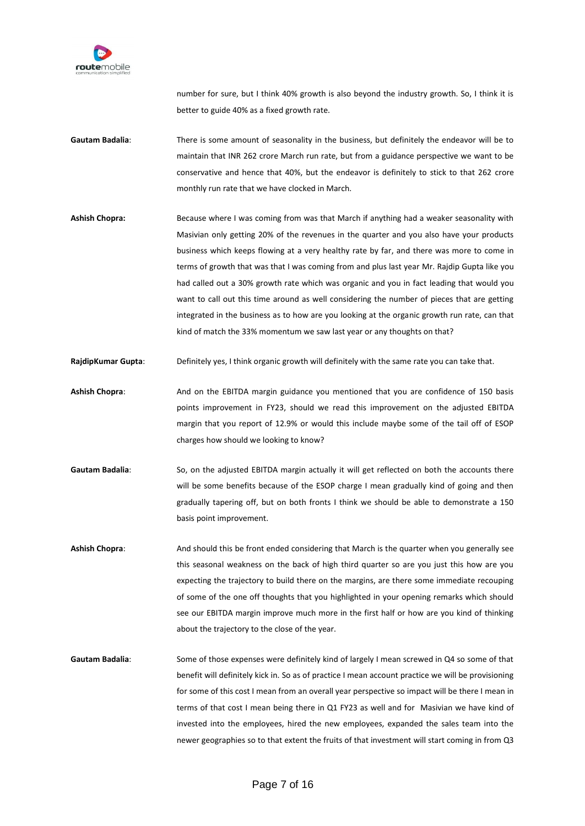

number for sure, but I think 40% growth is also beyond the industry growth. So, I think it is better to guide 40% as a fixed growth rate.

- **Gautam Badalia**: There is some amount of seasonality in the business, but definitely the endeavor will be to maintain that INR 262 crore March run rate, but from a guidance perspective we want to be conservative and hence that 40%, but the endeavor is definitely to stick to that 262 crore monthly run rate that we have clocked in March.
- **Ashish Chopra:** Because where I was coming from was that March if anything had a weaker seasonality with Masivian only getting 20% of the revenues in the quarter and you also have your products business which keeps flowing at a very healthy rate by far, and there was more to come in terms of growth that was that I was coming from and plus last year Mr. Rajdip Gupta like you had called out a 30% growth rate which was organic and you in fact leading that would you want to call out this time around as well considering the number of pieces that are getting integrated in the business as to how are you looking at the organic growth run rate, can that kind of match the 33% momentum we saw last year or any thoughts on that?
- **RajdipKumar Gupta**: Definitely yes, I think organic growth will definitely with the same rate you can take that.
- **Ashish Chopra**: And on the EBITDA margin guidance you mentioned that you are confidence of 150 basis points improvement in FY23, should we read this improvement on the adjusted EBITDA margin that you report of 12.9% or would this include maybe some of the tail off of ESOP charges how should we looking to know?
- Gautam Badalia: So, on the adjusted EBITDA margin actually it will get reflected on both the accounts there will be some benefits because of the ESOP charge I mean gradually kind of going and then gradually tapering off, but on both fronts I think we should be able to demonstrate a 150 basis point improvement.
- **Ashish Chopra**: And should this be front ended considering that March is the quarter when you generally see this seasonal weakness on the back of high third quarter so are you just this how are you expecting the trajectory to build there on the margins, are there some immediate recouping of some of the one off thoughts that you highlighted in your opening remarks which should see our EBITDA margin improve much more in the first half or how are you kind of thinking about the trajectory to the close of the year.
- **Gautam Badalia**: Some of those expenses were definitely kind of largely I mean screwed in Q4 so some of that benefit will definitely kick in. So as of practice I mean account practice we will be provisioning for some of this cost I mean from an overall year perspective so impact will be there I mean in terms of that cost I mean being there in Q1 FY23 as well and for Masivian we have kind of invested into the employees, hired the new employees, expanded the sales team into the newer geographies so to that extent the fruits of that investment will start coming in from Q3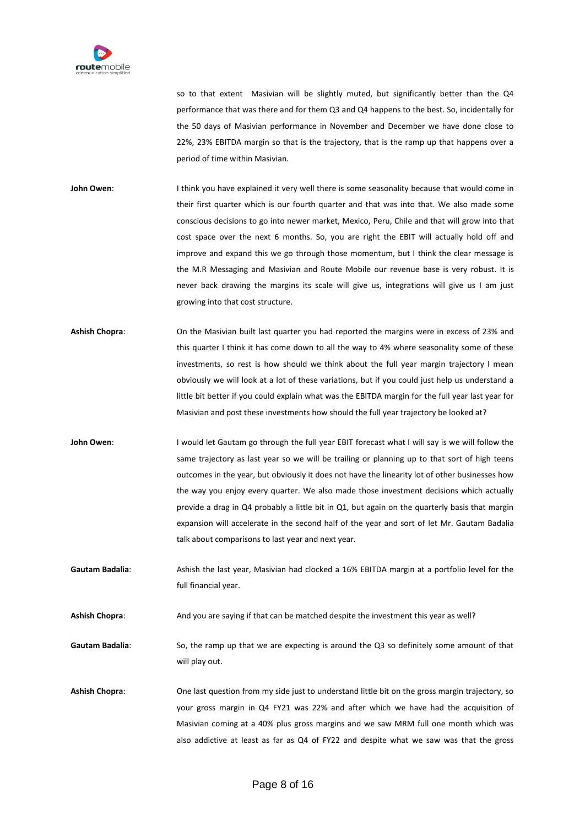

so to that extent Masivian will be slightly muted, but significantly better than the Q4 performance that was there and for them Q3 and Q4 happens to the best. So, incidentally for the 50 days of Masivian performance in November and December we have done close to 22%, 23% EBITDA margin so that is the trajectory, that is the ramp up that happens over a period of time within Masivian.

John Owen: I think you have explained it very well there is some seasonality because that would come in their first quarter which is our fourth quarter and that was into that. We also made some conscious decisions to go into newer market, Mexico, Peru, Chile and that will grow into that cost space over the next 6 months. So, you are right the EBIT will actually hold off and improve and expand this we go through those momentum, but I think the clear message is the M.R Messaging and Masivian and Route Mobile our revenue base is very robust. It is never back drawing the margins its scale will give us, integrations will give us I am just growing into that cost structure.

- **Ashish Chopra**: On the Masivian built last quarter you had reported the margins were in excess of 23% and this quarter I think it has come down to all the way to 4% where seasonality some of these investments, so rest is how should we think about the full year margin trajectory I mean obviously we will look at a lot of these variations, but if you could just help us understand a little bit better if you could explain what was the EBITDA margin for the full year last year for Masivian and post these investments how should the full year trajectory be looked at?
- John Owen: I would let Gautam go through the full year EBIT forecast what I will say is we will follow the same trajectory as last year so we will be trailing or planning up to that sort of high teens outcomes in the year, but obviously it does not have the linearity lot of other businesses how the way you enjoy every quarter. We also made those investment decisions which actually provide a drag in Q4 probably a little bit in Q1, but again on the quarterly basis that margin expansion will accelerate in the second half of the year and sort of let Mr. Gautam Badalia talk about comparisons to last year and next year.
- **Gautam Badalia**: Ashish the last year, Masivian had clocked a 16% EBITDA margin at a portfolio level for the full financial year.

**Ashish Chopra**: And you are saying if that can be matched despite the investment this year as well?

**Gautam Badalia**: So, the ramp up that we are expecting is around the Q3 so definitely some amount of that will play out.

**Ashish Chopra**: One last question from my side just to understand little bit on the gross margin trajectory, so your gross margin in Q4 FY21 was 22% and after which we have had the acquisition of Masivian coming at a 40% plus gross margins and we saw MRM full one month which was also addictive at least as far as Q4 of FY22 and despite what we saw was that the gross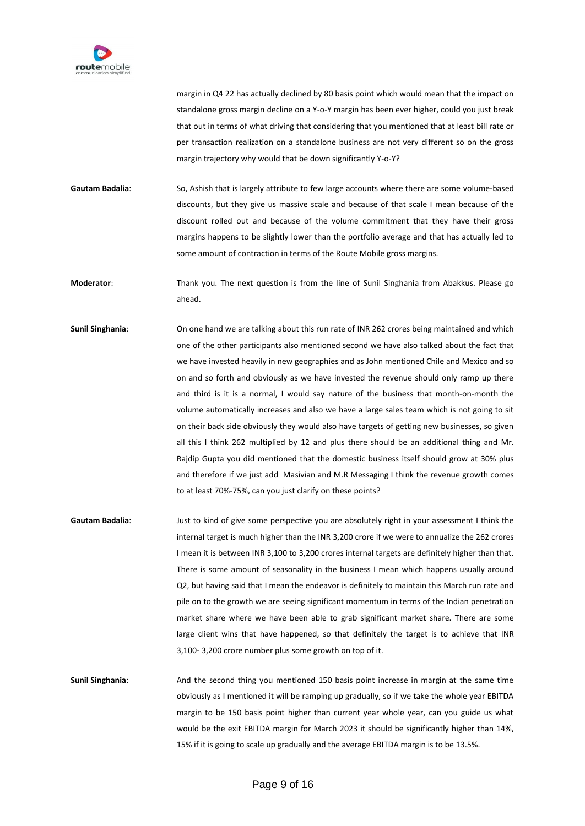

margin in Q4 22 has actually declined by 80 basis point which would mean that the impact on standalone gross margin decline on a Y-o-Y margin has been ever higher, could you just break that out in terms of what driving that considering that you mentioned that at least bill rate or per transaction realization on a standalone business are not very different so on the gross margin trajectory why would that be down significantly Y-o-Y?

**Gautam Badalia**: So, Ashish that is largely attribute to few large accounts where there are some volume-based discounts, but they give us massive scale and because of that scale I mean because of the discount rolled out and because of the volume commitment that they have their gross margins happens to be slightly lower than the portfolio average and that has actually led to some amount of contraction in terms of the Route Mobile gross margins.

**Moderator**: Thank you. The next question is from the line of Sunil Singhania from Abakkus. Please go ahead.

- **Sunil Singhania**: On one hand we are talking about this run rate of INR 262 crores being maintained and which one of the other participants also mentioned second we have also talked about the fact that we have invested heavily in new geographies and as John mentioned Chile and Mexico and so on and so forth and obviously as we have invested the revenue should only ramp up there and third is it is a normal, I would say nature of the business that month-on-month the volume automatically increases and also we have a large sales team which is not going to sit on their back side obviously they would also have targets of getting new businesses, so given all this I think 262 multiplied by 12 and plus there should be an additional thing and Mr. Rajdip Gupta you did mentioned that the domestic business itself should grow at 30% plus and therefore if we just add Masivian and M.R Messaging I think the revenue growth comes to at least 70%-75%, can you just clarify on these points?
- **Gautam Badalia**: Just to kind of give some perspective you are absolutely right in your assessment I think the internal target is much higher than the INR 3,200 crore if we were to annualize the 262 crores I mean it is between INR 3,100 to 3,200 crores internal targets are definitely higher than that. There is some amount of seasonality in the business I mean which happens usually around Q2, but having said that I mean the endeavor is definitely to maintain this March run rate and pile on to the growth we are seeing significant momentum in terms of the Indian penetration market share where we have been able to grab significant market share. There are some large client wins that have happened, so that definitely the target is to achieve that INR 3,100- 3,200 crore number plus some growth on top of it.

**Sunil Singhania**: And the second thing you mentioned 150 basis point increase in margin at the same time obviously as I mentioned it will be ramping up gradually, so if we take the whole year EBITDA margin to be 150 basis point higher than current year whole year, can you guide us what would be the exit EBITDA margin for March 2023 it should be significantly higher than 14%, 15% if it is going to scale up gradually and the average EBITDA margin is to be 13.5%.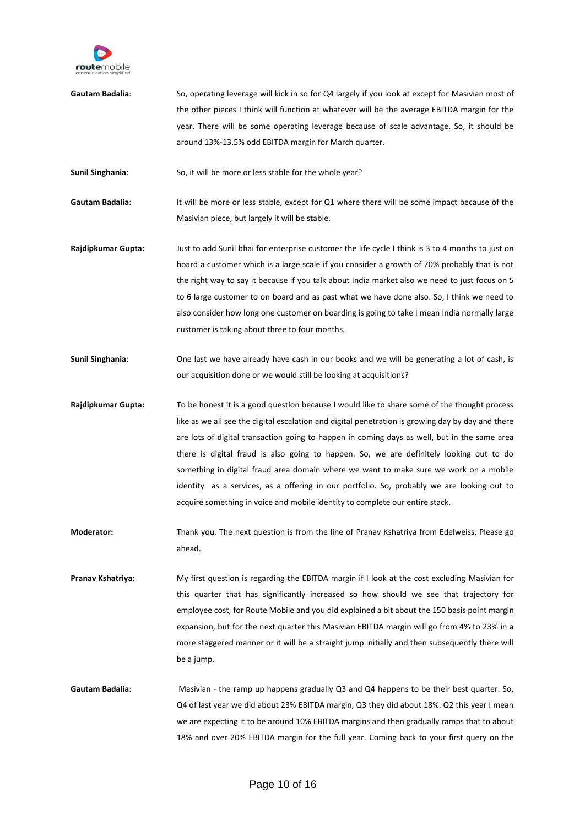

**Gautam Badalia**: So, operating leverage will kick in so for Q4 largely if you look at except for Masivian most of the other pieces I think will function at whatever will be the average EBITDA margin for the year. There will be some operating leverage because of scale advantage. So, it should be around 13%-13.5% odd EBITDA margin for March quarter.

**Sunil Singhania**: So, it will be more or less stable for the whole year?

Gautam Badalia: It will be more or less stable, except for Q1 where there will be some impact because of the Masivian piece, but largely it will be stable.

- **Rajdipkumar Gupta:** Just to add Sunil bhai for enterprise customer the life cycle I think is 3 to 4 months to just on board a customer which is a large scale if you consider a growth of 70% probably that is not the right way to say it because if you talk about India market also we need to just focus on 5 to 6 large customer to on board and as past what we have done also. So, I think we need to also consider how long one customer on boarding is going to take I mean India normally large customer is taking about three to four months.
- **Sunil Singhania**: One last we have already have cash in our books and we will be generating a lot of cash, is our acquisition done or we would still be looking at acquisitions?
- **Rajdipkumar Gupta:** To be honest it is a good question because I would like to share some of the thought process like as we all see the digital escalation and digital penetration is growing day by day and there are lots of digital transaction going to happen in coming days as well, but in the same area there is digital fraud is also going to happen. So, we are definitely looking out to do something in digital fraud area domain where we want to make sure we work on a mobile identity as a services, as a offering in our portfolio. So, probably we are looking out to acquire something in voice and mobile identity to complete our entire stack.
- **Moderator:** Thank you. The next question is from the line of Pranav Kshatriya from Edelweiss. Please go ahead.
- **Pranav Kshatriya**: My first question is regarding the EBITDA margin if I look at the cost excluding Masivian for this quarter that has significantly increased so how should we see that trajectory for employee cost, for Route Mobile and you did explained a bit about the 150 basis point margin expansion, but for the next quarter this Masivian EBITDA margin will go from 4% to 23% in a more staggered manner or it will be a straight jump initially and then subsequently there will be a jump.
- **Gautam Badalia**: Masivian the ramp up happens gradually Q3 and Q4 happens to be their best quarter. So, Q4 of last year we did about 23% EBITDA margin, Q3 they did about 18%. Q2 this year I mean we are expecting it to be around 10% EBITDA margins and then gradually ramps that to about 18% and over 20% EBITDA margin for the full year. Coming back to your first query on the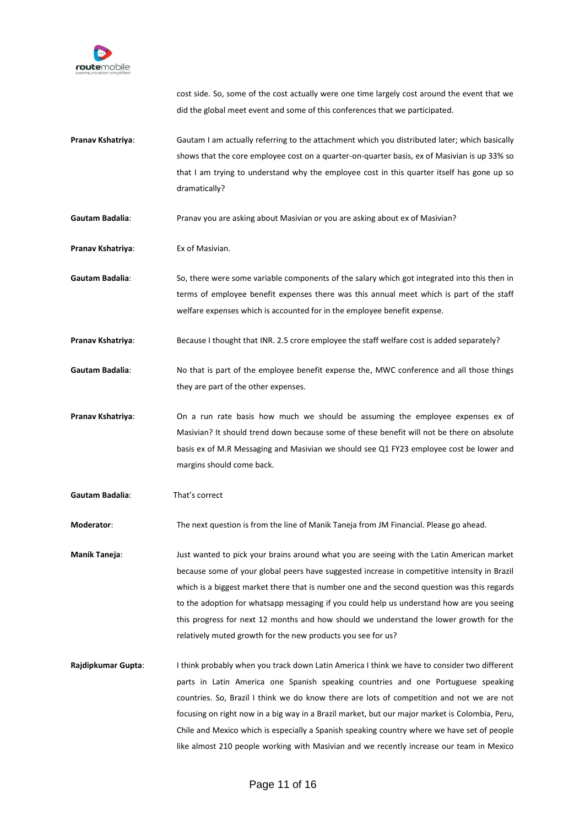

cost side. So, some of the cost actually were one time largely cost around the event that we did the global meet event and some of this conferences that we participated.

- **Pranav Kshatriya**: Gautam I am actually referring to the attachment which you distributed later; which basically shows that the core employee cost on a quarter-on-quarter basis, ex of Masivian is up 33% so that I am trying to understand why the employee cost in this quarter itself has gone up so dramatically?
- Gautam Badalia: **Pranav you are asking about Masivian or you are asking about ex of Masivian?**
- **Pranav Kshatriya:** Ex of Masivian.
- **Gautam Badalia**: So, there were some variable components of the salary which got integrated into this then in terms of employee benefit expenses there was this annual meet which is part of the staff welfare expenses which is accounted for in the employee benefit expense.
- **Pranav Kshatriya:** Because I thought that INR. 2.5 crore employee the staff welfare cost is added separately?
- Gautam Badalia: No that is part of the employee benefit expense the, MWC conference and all those things they are part of the other expenses.
- **Pranav Kshatriya**: On a run rate basis how much we should be assuming the employee expenses ex of Masivian? It should trend down because some of these benefit will not be there on absolute basis ex of M.R Messaging and Masivian we should see Q1 FY23 employee cost be lower and margins should come back.
- **Gautam Badalia**: That's correct

**Moderator**: The next question is from the line of Manik Taneja from JM Financial. Please go ahead.

**Manik Taneja**: Just wanted to pick your brains around what you are seeing with the Latin American market because some of your global peers have suggested increase in competitive intensity in Brazil which is a biggest market there that is number one and the second question was this regards to the adoption for whatsapp messaging if you could help us understand how are you seeing this progress for next 12 months and how should we understand the lower growth for the relatively muted growth for the new products you see for us?

**Rajdipkumar Gupta**: I think probably when you track down Latin America I think we have to consider two different parts in Latin America one Spanish speaking countries and one Portuguese speaking countries. So, Brazil I think we do know there are lots of competition and not we are not focusing on right now in a big way in a Brazil market, but our major market is Colombia, Peru, Chile and Mexico which is especially a Spanish speaking country where we have set of people like almost 210 people working with Masivian and we recently increase our team in Mexico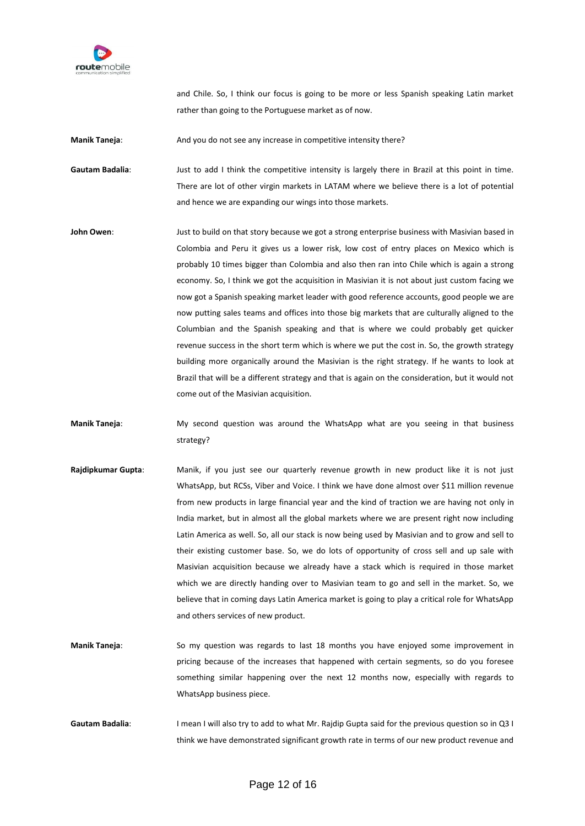

and Chile. So, I think our focus is going to be more or less Spanish speaking Latin market rather than going to the Portuguese market as of now.

**Manik Taneja:** And you do not see any increase in competitive intensity there?

Gautam Badalia: **Just to add I think the competitive intensity is largely there in Brazil at this point in time.** There are lot of other virgin markets in LATAM where we believe there is a lot of potential and hence we are expanding our wings into those markets.

**John Owen**: Just to build on that story because we got a strong enterprise business with Masivian based in Colombia and Peru it gives us a lower risk, low cost of entry places on Mexico which is probably 10 times bigger than Colombia and also then ran into Chile which is again a strong economy. So, I think we got the acquisition in Masivian it is not about just custom facing we now got a Spanish speaking market leader with good reference accounts, good people we are now putting sales teams and offices into those big markets that are culturally aligned to the Columbian and the Spanish speaking and that is where we could probably get quicker revenue success in the short term which is where we put the cost in. So, the growth strategy building more organically around the Masivian is the right strategy. If he wants to look at Brazil that will be a different strategy and that is again on the consideration, but it would not come out of the Masivian acquisition.

**Manik Taneja**: My second question was around the WhatsApp what are you seeing in that business strategy?

- **Rajdipkumar Gupta**: Manik, if you just see our quarterly revenue growth in new product like it is not just WhatsApp, but RCSs, Viber and Voice. I think we have done almost over \$11 million revenue from new products in large financial year and the kind of traction we are having not only in India market, but in almost all the global markets where we are present right now including Latin America as well. So, all our stack is now being used by Masivian and to grow and sell to their existing customer base. So, we do lots of opportunity of cross sell and up sale with Masivian acquisition because we already have a stack which is required in those market which we are directly handing over to Masivian team to go and sell in the market. So, we believe that in coming days Latin America market is going to play a critical role for WhatsApp and others services of new product.
- **Manik Taneja**: So my question was regards to last 18 months you have enjoyed some improvement in pricing because of the increases that happened with certain segments, so do you foresee something similar happening over the next 12 months now, especially with regards to WhatsApp business piece.
- **Gautam Badalia**: I mean I will also try to add to what Mr. Rajdip Gupta said for the previous question so in Q3 I think we have demonstrated significant growth rate in terms of our new product revenue and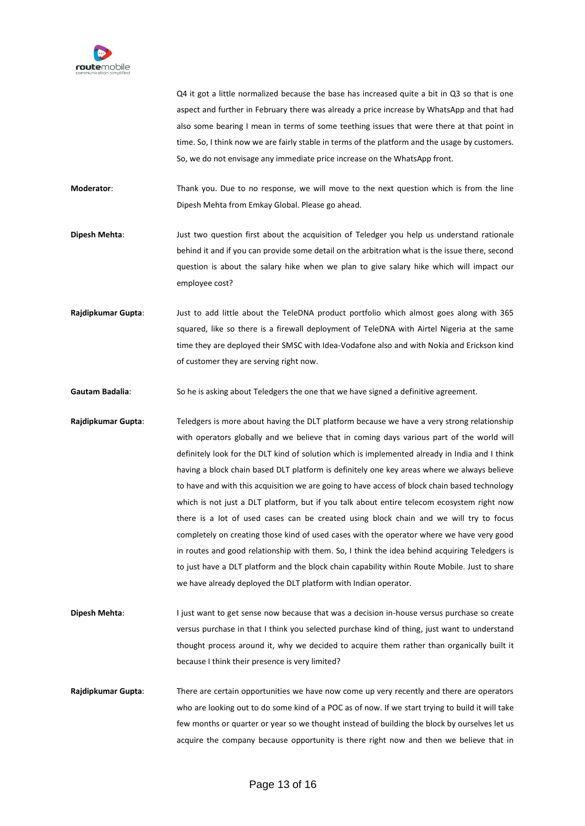

Q4 it got a little normalized because the base has increased quite a bit in Q3 so that is one aspect and further in February there was already a price increase by WhatsApp and that had also some bearing I mean in terms of some teething issues that were there at that point in time. So, I think now we are fairly stable in terms of the platform and the usage by customers. So, we do not envisage any immediate price increase on the WhatsApp front.

**Moderator**: Thank you. Due to no response, we will move to the next question which is from the line Dipesh Mehta from Emkay Global. Please go ahead.

**Dipesh Mehta**: Just two question first about the acquisition of Teledger you help us understand rationale behind it and if you can provide some detail on the arbitration what is the issue there, second question is about the salary hike when we plan to give salary hike which will impact our employee cost?

**Rajdipkumar Gupta**: Just to add little about the TeleDNA product portfolio which almost goes along with 365 squared, like so there is a firewall deployment of TeleDNA with Airtel Nigeria at the same time they are deployed their SMSC with Idea-Vodafone also and with Nokia and Erickson kind of customer they are serving right now.

Gautam Badalia: So he is asking about Teledgers the one that we have signed a definitive agreement.

**Rajdipkumar Gupta**: Teledgers is more about having the DLT platform because we have a very strong relationship with operators globally and we believe that in coming days various part of the world will definitely look for the DLT kind of solution which is implemented already in India and I think having a block chain based DLT platform is definitely one key areas where we always believe to have and with this acquisition we are going to have access of block chain based technology which is not just a DLT platform, but if you talk about entire telecom ecosystem right now there is a lot of used cases can be created using block chain and we will try to focus completely on creating those kind of used cases with the operator where we have very good in routes and good relationship with them. So, I think the idea behind acquiring Teledgers is to just have a DLT platform and the block chain capability within Route Mobile. Just to share we have already deployed the DLT platform with Indian operator.

**Dipesh Mehta:** I just want to get sense now because that was a decision in-house versus purchase so create versus purchase in that I think you selected purchase kind of thing, just want to understand thought process around it, why we decided to acquire them rather than organically built it because I think their presence is very limited?

**Rajdipkumar Gupta**: There are certain opportunities we have now come up very recently and there are operators who are looking out to do some kind of a POC as of now. If we start trying to build it will take few months or quarter or year so we thought instead of building the block by ourselves let us acquire the company because opportunity is there right now and then we believe that in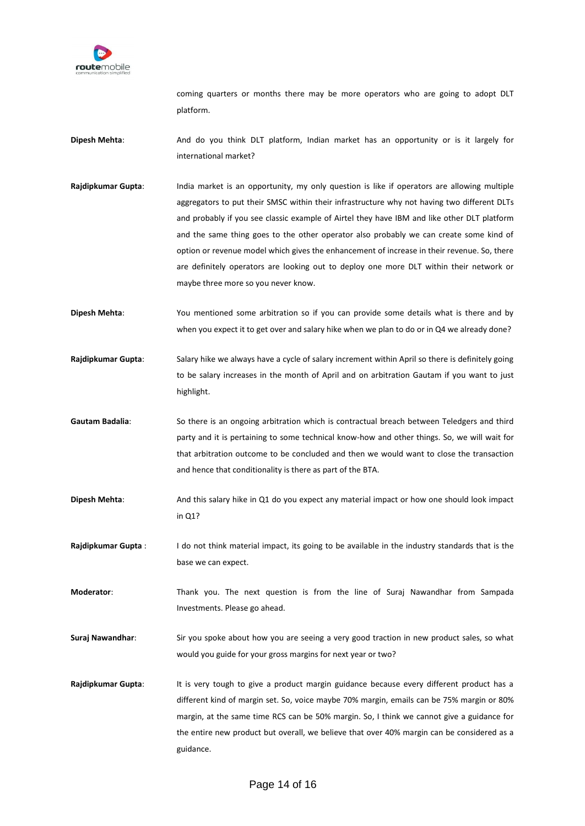

coming quarters or months there may be more operators who are going to adopt DLT platform.

- **Dipesh Mehta**: And do you think DLT platform, Indian market has an opportunity or is it largely for international market?
- **Rajdipkumar Gupta**: India market is an opportunity, my only question is like if operators are allowing multiple aggregators to put their SMSC within their infrastructure why not having two different DLTs and probably if you see classic example of Airtel they have IBM and like other DLT platform and the same thing goes to the other operator also probably we can create some kind of option or revenue model which gives the enhancement of increase in their revenue. So, there are definitely operators are looking out to deploy one more DLT within their network or maybe three more so you never know.
- **Dipesh Mehta**: You mentioned some arbitration so if you can provide some details what is there and by when you expect it to get over and salary hike when we plan to do or in Q4 we already done?
- **Rajdipkumar Gupta**: Salary hike we always have a cycle of salary increment within April so there is definitely going to be salary increases in the month of April and on arbitration Gautam if you want to just highlight.
- **Gautam Badalia**: So there is an ongoing arbitration which is contractual breach between Teledgers and third party and it is pertaining to some technical know-how and other things. So, we will wait for that arbitration outcome to be concluded and then we would want to close the transaction and hence that conditionality is there as part of the BTA.
- **Dipesh Mehta**: And this salary hike in Q1 do you expect any material impact or how one should look impact in Q1?
- **Rajdipkumar Gupta** : I do not think material impact, its going to be available in the industry standards that is the base we can expect.
- **Moderator**: Thank you. The next question is from the line of Suraj Nawandhar from Sampada Investments. Please go ahead.
- **Suraj Nawandhar**: Sir you spoke about how you are seeing a very good traction in new product sales, so what would you guide for your gross margins for next year or two?
- Rajdipkumar Gupta: It is very tough to give a product margin guidance because every different product has a different kind of margin set. So, voice maybe 70% margin, emails can be 75% margin or 80% margin, at the same time RCS can be 50% margin. So, I think we cannot give a guidance for the entire new product but overall, we believe that over 40% margin can be considered as a guidance.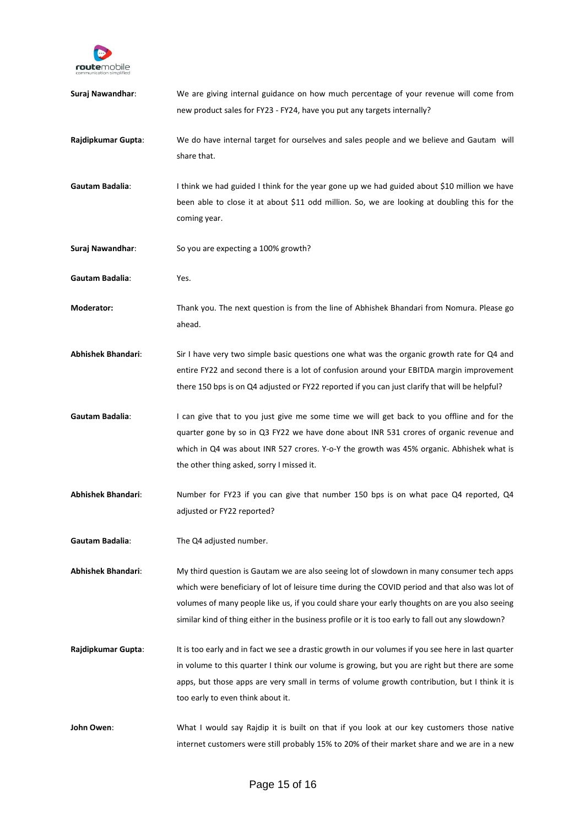

| Suraj Nawandhar:          | We are giving internal guidance on how much percentage of your revenue will come from<br>new product sales for FY23 - FY24, have you put any targets internally?                                                                                                                                                                                                                                  |
|---------------------------|---------------------------------------------------------------------------------------------------------------------------------------------------------------------------------------------------------------------------------------------------------------------------------------------------------------------------------------------------------------------------------------------------|
| Rajdipkumar Gupta:        | We do have internal target for ourselves and sales people and we believe and Gautam will<br>share that.                                                                                                                                                                                                                                                                                           |
| Gautam Badalia:           | I think we had guided I think for the year gone up we had guided about \$10 million we have<br>been able to close it at about \$11 odd million. So, we are looking at doubling this for the<br>coming year.                                                                                                                                                                                       |
| Suraj Nawandhar:          | So you are expecting a 100% growth?                                                                                                                                                                                                                                                                                                                                                               |
| Gautam Badalia:           | Yes.                                                                                                                                                                                                                                                                                                                                                                                              |
| Moderator:                | Thank you. The next question is from the line of Abhishek Bhandari from Nomura. Please go<br>ahead.                                                                                                                                                                                                                                                                                               |
| <b>Abhishek Bhandari:</b> | Sir I have very two simple basic questions one what was the organic growth rate for Q4 and<br>entire FY22 and second there is a lot of confusion around your EBITDA margin improvement<br>there 150 bps is on Q4 adjusted or FY22 reported if you can just clarify that will be helpful?                                                                                                          |
| Gautam Badalia:           | I can give that to you just give me some time we will get back to you offline and for the<br>quarter gone by so in Q3 FY22 we have done about INR 531 crores of organic revenue and<br>which in Q4 was about INR 527 crores. Y-o-Y the growth was 45% organic. Abhishek what is<br>the other thing asked, sorry I missed it.                                                                      |
| <b>Abhishek Bhandari:</b> | Number for FY23 if you can give that number 150 bps is on what pace Q4 reported, Q4<br>adjusted or FY22 reported?                                                                                                                                                                                                                                                                                 |
| Gautam Badalia:           | The Q4 adjusted number.                                                                                                                                                                                                                                                                                                                                                                           |
| <b>Abhishek Bhandari:</b> | My third question is Gautam we are also seeing lot of slowdown in many consumer tech apps<br>which were beneficiary of lot of leisure time during the COVID period and that also was lot of<br>volumes of many people like us, if you could share your early thoughts on are you also seeing<br>similar kind of thing either in the business profile or it is too early to fall out any slowdown? |
| Rajdipkumar Gupta:        | It is too early and in fact we see a drastic growth in our volumes if you see here in last quarter<br>in volume to this quarter I think our volume is growing, but you are right but there are some<br>apps, but those apps are very small in terms of volume growth contribution, but I think it is<br>too early to even think about it.                                                         |
| John Owen:                | What I would say Rajdip it is built on that if you look at our key customers those native<br>internet customers were still probably 15% to 20% of their market share and we are in a new                                                                                                                                                                                                          |